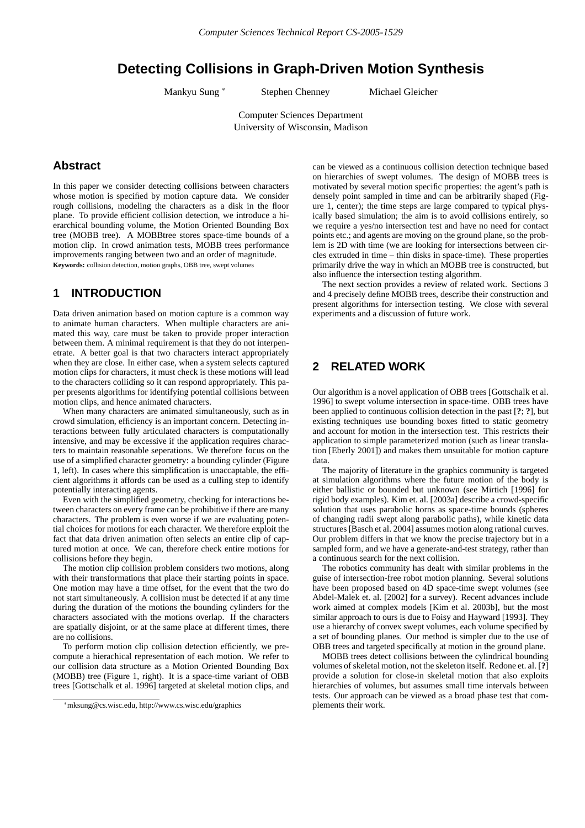# **Detecting Collisions in Graph-Driven Motion Synthesis**

Mankyu Sung <sup>∗</sup> Stephen Chenney Michael Gleicher

Computer Sciences Department University of Wisconsin, Madison

## **Abstract**

In this paper we consider detecting collisions between characters whose motion is specified by motion capture data. We consider rough collisions, modeling the characters as a disk in the floor plane. To provide efficient collision detection, we introduce a hierarchical bounding volume, the Motion Oriented Bounding Box tree (MOBB tree). A MOBBtree stores space-time bounds of a motion clip. In crowd animation tests, MOBB trees performance improvements ranging between two and an order of magnitude. **Keywords:** collision detection, motion graphs, OBB tree, swept volumes

# **1 INTRODUCTION**

Data driven animation based on motion capture is a common way to animate human characters. When multiple characters are animated this way, care must be taken to provide proper interaction between them. A minimal requirement is that they do not interpenetrate. A better goal is that two characters interact appropriately when they are close. In either case, when a system selects captured motion clips for characters, it must check is these motions will lead to the characters colliding so it can respond appropriately. This paper presents algorithms for identifying potential collisions between motion clips, and hence animated characters.

When many characters are animated simultaneously, such as in crowd simulation, efficiency is an important concern. Detecting interactions between fully articulated characters is computationally intensive, and may be excessive if the application requires characters to maintain reasonable seperations. We therefore focus on the use of a simplified character geometry: a bounding cylinder (Figure 1, left). In cases where this simplification is unaccaptable, the efficient algorithms it affords can be used as a culling step to identify potentially interacting agents.

Even with the simplified geometry, checking for interactions between characters on every frame can be prohibitive if there are many characters. The problem is even worse if we are evaluating potential choices for motions for each character. We therefore exploit the fact that data driven animation often selects an entire clip of captured motion at once. We can, therefore check entire motions for collisions before they begin.

The motion clip collision problem considers two motions, along with their transformations that place their starting points in space. One motion may have a time offset, for the event that the two do not start simultaneously. A collision must be detected if at any time during the duration of the motions the bounding cylinders for the characters associated with the motions overlap. If the characters are spatially disjoint, or at the same place at different times, there are no collisions.

To perform motion clip collision detection efficiently, we precompute a hierachical representation of each motion. We refer to our collision data structure as a Motion Oriented Bounding Box (MOBB) tree (Figure 1, right). It is a space-time variant of OBB trees [Gottschalk et al. 1996] targeted at skeletal motion clips, and

can be viewed as a continuous collision detection technique based on hierarchies of swept volumes. The design of MOBB trees is motivated by several motion specific properties: the agent's path is densely point sampled in time and can be arbitrarily shaped (Figure 1, center); the time steps are large compared to typical physically based simulation; the aim is to avoid collisions entirely, so we require a yes/no intersection test and have no need for contact points etc.; and agents are moving on the ground plane, so the problem is 2D with time (we are looking for intersections between circles extruded in time – thin disks in space-time). These properties primarily drive the way in which an MOBB tree is constructed, but also influence the intersection testing algorithm.

The next section provides a review of related work. Sections 3 and 4 precisely define MOBB trees, describe their construction and present algorithms for intersection testing. We close with several experiments and a discussion of future work.

# **2 RELATED WORK**

Our algorithm is a novel application of OBB trees [Gottschalk et al. 1996] to swept volume intersection in space-time. OBB trees have been applied to continuous collision detection in the past [**?**; **?**], but existing techniques use bounding boxes fitted to static geometry and account for motion in the intersection test. This restricts their application to simple parameterized motion (such as linear translation [Eberly 2001]) and makes them unsuitable for motion capture data.

The majority of literature in the graphics community is targeted at simulation algorithms where the future motion of the body is either ballistic or bounded but unknown (see Mirtich [1996] for rigid body examples). Kim et. al. [2003a] describe a crowd-specific solution that uses parabolic horns as space-time bounds (spheres of changing radii swept along parabolic paths), while kinetic data structures [Basch et al. 2004] assumes motion along rational curves. Our problem differs in that we know the precise trajectory but in a sampled form, and we have a generate-and-test strategy, rather than a continuous search for the next collision.

The robotics community has dealt with similar problems in the guise of intersection-free robot motion planning. Several solutions have been proposed based on 4D space-time swept volumes (see Abdel-Malek et. al. [2002] for a survey). Recent advances include work aimed at complex models [Kim et al. 2003b], but the most similar approach to ours is due to Foisy and Hayward [1993]. They use a hierarchy of convex swept volumes, each volume specified by a set of bounding planes. Our method is simpler due to the use of OBB trees and targeted specifically at motion in the ground plane.

MOBB trees detect collisions between the cylindrical bounding volumes of skeletal motion, not the skeleton itself. Redone et. al. [**?**] provide a solution for close-in skeletal motion that also exploits hierarchies of volumes, but assumes small time intervals between tests. Our approach can be viewed as a broad phase test that complements their work.

<sup>∗</sup>mksung@cs.wisc.edu, http://www.cs.wisc.edu/graphics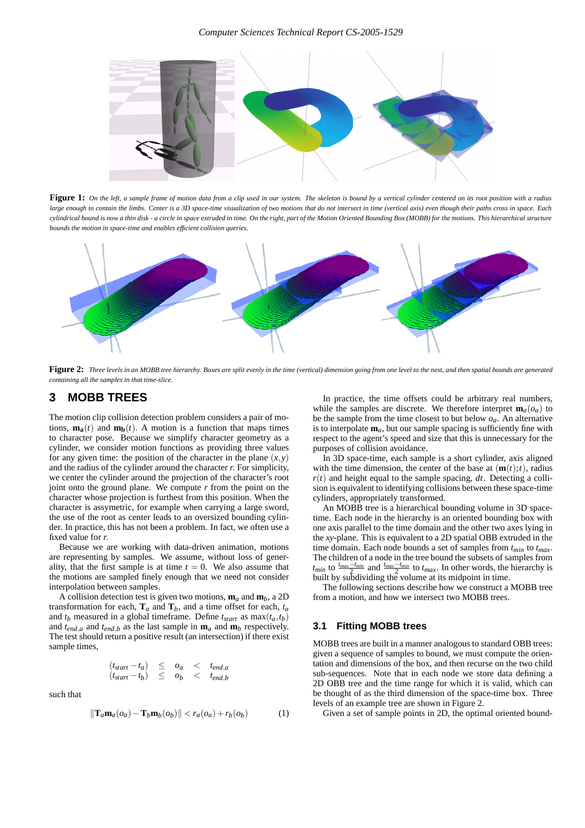#### *Computer Sciences Technical Report CS-2005-1529*



**Figure 1:** *On the left, a sample frame of motion data from a clip used in our system. The skeleton is bound by a vertical cylinder centered on its root position with a radius large enough to contain the limbs. Center is a 3D space-time visualization of two motions that do not intersect in time (vertical axis) even though their paths cross in space. Each cylindrical bound is now a thin disk - a circle in space extruded in time. On the right, part of the Motion Oriented Bounding Box (MOBB) for the motions. This hierarchical structure bounds the motion in space-time and enables efficient collision queries.*



**Figure 2:** *Three levels in an MOBB tree hierarchy. Boxes are split evenly in the time (vertical) dimension going from one level to the next, and then spatial bounds are generated containing all the samples in that time-slice.*

### **3 MOBB TREES**

The motion clip collision detection problem considers a pair of motions,  $\mathbf{m}_a(t)$  and  $\mathbf{m}_b(t)$ . A motion is a function that maps times to character pose. Because we simplify character geometry as a cylinder, we consider motion functions as providing three values for any given time: the position of the character in the plane  $(x, y)$ and the radius of the cylinder around the character *r*. For simplicity, we center the cylinder around the projection of the character's root joint onto the ground plane. We compute  $r$  from the point on the character whose projection is furthest from this position. When the character is assymetric, for example when carrying a large sword, the use of the root as center leads to an oversized bounding cylinder. In practice, this has not been a problem. In fact, we often use a fixed value for *r*.

Because we are working with data-driven animation, motions are representing by samples. We assume, without loss of generality, that the first sample is at time  $t = 0$ . We also assume that the motions are sampled finely enough that we need not consider interpolation between samples.

A collision detection test is given two motions,  $\mathbf{m}_a$  and  $\mathbf{m}_b$ , a 2D transformation for each,  $\mathbf{T}_a$  and  $\mathbf{T}_b$ , and a time offset for each,  $t_a$ and  $t_b$  measured in a global timeframe. Define  $t_{start}$  as  $max(t_a, t_b)$ and  $t_{end,a}$  and  $t_{end,b}$  as the last sample in  $\mathbf{m}_a$  and  $\mathbf{m}_b$  respectively. The test should return a positive result (an intersection) if there exist sample times,

$$
(t_{start} - t_a) \le o_a < t_{end,a}
$$
  

$$
(t_{start} - t_b) \le o_b < t_{end,b}
$$

such that

$$
\|\mathbf{T}_a\mathbf{m}_a(o_a) - \mathbf{T}_b\mathbf{m}_b(o_b)\| < r_a(o_a) + r_b(o_b) \tag{1}
$$

In practice, the time offsets could be arbitrary real numbers, while the samples are discrete. We therefore interpret  $\mathbf{m}_a(o_a)$  to be the sample from the time closest to but below  $o_a$ . An alternative is to interpolate  $\mathbf{m}_a$ , but our sample spacing is sufficiently fine with respect to the agent's speed and size that this is unnecessary for the purposes of collision avoidance.

In 3D space-time, each sample is a short cylinder, axis aligned with the time dimension, the center of the base at  $(\mathbf{m}(t);t)$ , radius  $r(t)$  and height equal to the sample spacing, *dt*. Detecting a collision is equivalent to identifying collisions between these space-time cylinders, appropriately transformed.

An MOBB tree is a hierarchical bounding volume in 3D spacetime. Each node in the hierarchy is an oriented bounding box with one axis parallel to the time domain and the other two axes lying in the *xy*-plane. This is equivalent to a 2D spatial OBB extruded in the time domain. Each node bounds a set of samples from *tmin* to *tmax*. The children of a node in the tree bound the subsets of samples from *t<sub>min</sub>* to  $\frac{t_{max} - t_{min}}{2}$  and  $\frac{t_{max} - t_{min}}{2}$  to  $t_{max}$ . In other words, the hierarchy is built by subdividing the volume at its midpoint in time.

The following sections describe how we construct a MOBB tree from a motion, and how we intersect two MOBB trees.

#### **3.1 Fitting MOBB trees**

MOBB trees are built in a manner analogous to standard OBB trees: given a sequence of samples to bound, we must compute the orientation and dimensions of the box, and then recurse on the two child sub-sequences. Note that in each node we store data defining a 2D OBB tree and the time range for which it is valid, which can be thought of as the third dimension of the space-time box. Three levels of an example tree are shown in Figure 2.

Given a set of sample points in 2D, the optimal oriented bound-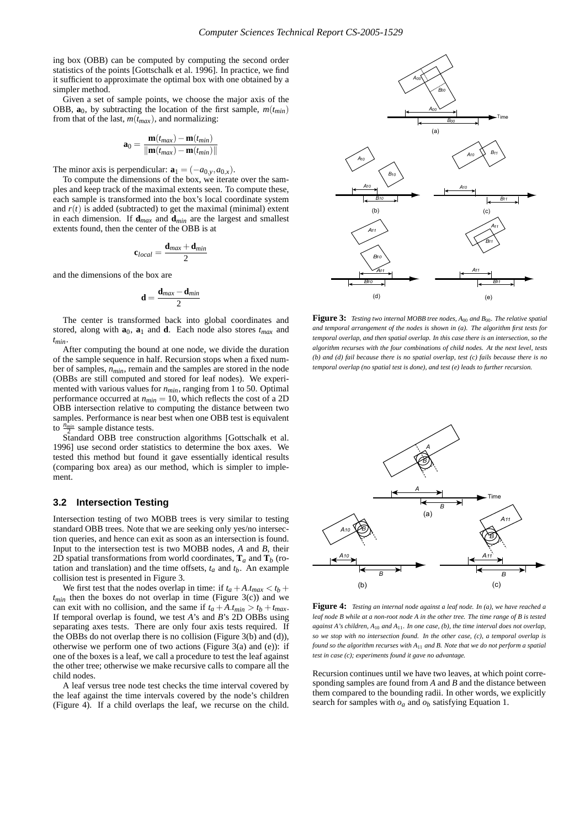ing box (OBB) can be computed by computing the second order statistics of the points [Gottschalk et al. 1996]. In practice, we find it sufficient to approximate the optimal box with one obtained by a simpler method.

Given a set of sample points, we choose the major axis of the OBB,  $\mathbf{a}_0$ , by subtracting the location of the first sample,  $m(t_{min})$ from that of the last,  $m(t_{max})$ , and normalizing:

$$
\mathbf{a}_0 = \frac{\mathbf{m}(t_{max}) - \mathbf{m}(t_{min})}{\|\mathbf{m}(t_{max}) - \mathbf{m}(t_{min})\|}
$$

The minor axis is perpendicular:  $\mathbf{a}_1 = (-a_{0,y}, a_{0,x})$ .

To compute the dimensions of the box, we iterate over the samples and keep track of the maximal extents seen. To compute these, each sample is transformed into the box's local coordinate system and  $r(t)$  is added (subtracted) to get the maximal (minimal) extent in each dimension. If  $\mathbf{d}_{max}$  and  $\mathbf{d}_{min}$  are the largest and smallest extents found, then the center of the OBB is at

$$
\mathbf{c}_{local} = \frac{\mathbf{d}_{max} + \mathbf{d}_{min}}{2}
$$

and the dimensions of the box are

$$
\mathbf{d}=\frac{\mathbf{d}_{max}-\mathbf{d}_{min}}{2}
$$

The center is transformed back into global coordinates and stored, along with  $\mathbf{a}_0$ ,  $\mathbf{a}_1$  and **d**. Each node also stores  $t_{max}$  and *tmin*.

After computing the bound at one node, we divide the duration of the sample sequence in half. Recursion stops when a fixed number of samples,  $n_{min}$ , remain and the samples are stored in the node (OBBs are still computed and stored for leaf nodes). We experimented with various values for *nmin*, ranging from 1 to 50. Optimal performance occurred at *nmin* = 10, which reflects the cost of a 2D OBB intersection relative to computing the distance between two samples. Performance is near best when one OBB test is equivalent to  $\frac{n_{min}}{2}$  sample distance tests.

Standard OBB tree construction algorithms [Gottschalk et al. 1996] use second order statistics to determine the box axes. We tested this method but found it gave essentially identical results (comparing box area) as our method, which is simpler to implement.

### **3.2 Intersection Testing**

Intersection testing of two MOBB trees is very similar to testing standard OBB trees. Note that we are seeking only yes/no intersection queries, and hence can exit as soon as an intersection is found. Input to the intersection test is two MOBB nodes, *A* and *B*, their 2D spatial transformations from world coordinates,  $\mathbf{T}_a$  and  $\mathbf{T}_b$  (rotation and translation) and the time offsets,  $t_a$  and  $t_b$ . An example collision test is presented in Figure 3.

We first test that the nodes overlap in time: if  $t_a + A \cdot t_{max} < t_b +$  $t_{min}$  then the boxes do not overlap in time (Figure 3(c)) and we can exit with no collision, and the same if  $t_a + A \cdot t_{min} > t_b + t_{max}$ . If temporal overlap is found, we test *A*'s and *B*'s 2D OBBs using separating axes tests. There are only four axis tests required. If the OBBs do not overlap there is no collision (Figure 3(b) and (d)), otherwise we perform one of two actions (Figure 3(a) and (e)): if one of the boxes is a leaf, we call a procedure to test the leaf against the other tree; otherwise we make recursive calls to compare all the child nodes.

A leaf versus tree node test checks the time interval covered by the leaf against the time intervals covered by the node's children (Figure 4). If a child overlaps the leaf, we recurse on the child.



**Figure 3:** *Testing two internal MOBB tree nodes, A*<sup>00</sup> *and B*00*. The relative spatial and temporal arrangement of the nodes is shown in (a). The algorithm first tests for temporal overlap, and then spatial overlap. In this case there is an intersection, so the algorithm recurses with the four combinations of child nodes. At the next level, tests (b) and (d) fail because there is no spatial overlap, test (c) fails because there is no temporal overlap (no spatial test is done), and test (e) leads to further recursion.*



**Figure 4:** *Testing an internal node against a leaf node. In (a), we have reached a leaf node B while at a non-root node A in the other tree. The time range of B is tested against A's children, A*<sup>10</sup> *and A*11*. In one case, (b), the time interval does not overlap, so we stop with no intersection found. In the other case, (c), a temporal overlap is found so the algorithm recurses with A*<sup>11</sup> *and B. Note that we do not perform a spatial test in case (c); experiments found it gave no advantage.*

Recursion continues until we have two leaves, at which point corresponding samples are found from *A* and *B* and the distance between them compared to the bounding radii. In other words, we explicitly search for samples with  $o_a$  and  $o_b$  satisfying Equation 1.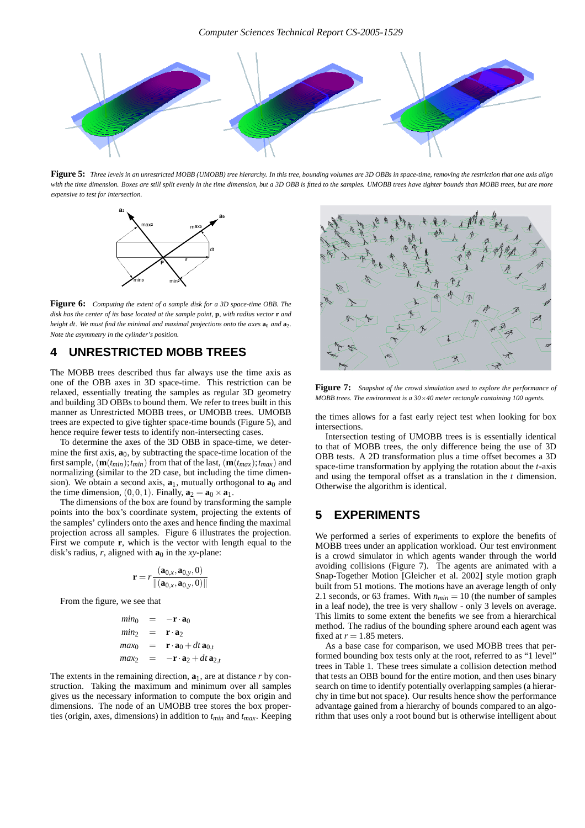

**Figure 5:** *Three levels in an unrestricted MOBB (UMOBB) tree hierarchy. In this tree, bounding volumes are 3D OBBs in space-time, removing the restriction that one axis align with the time dimension. Boxes are still split evenly in the time dimension, but a 3D OBB is fitted to the samples. UMOBB trees have tighter bounds than MOBB trees, but are more expensive to test for intersection.*



**Figure 6:** *Computing the extent of a sample disk for a 3D space-time OBB. The disk has the center of its base located at the sample point,* **p***, with radius vector* **r** *and height dt.* We must find the minimal and maximal projections onto the axes  $\mathbf{a}_0$  *and*  $\mathbf{a}_2$ *. Note the asymmetry in the cylinder's position.*

# **4 UNRESTRICTED MOBB TREES**

The MOBB trees described thus far always use the time axis as one of the OBB axes in 3D space-time. This restriction can be relaxed, essentially treating the samples as regular 3D geometry and building 3D OBBs to bound them. We refer to trees built in this manner as Unrestricted MOBB trees, or UMOBB trees. UMOBB trees are expected to give tighter space-time bounds (Figure 5), and hence require fewer tests to identify non-intersecting cases.

To determine the axes of the 3D OBB in space-time, we determine the first axis,  $\mathbf{a}_0$ , by subtracting the space-time location of the first sample,  $(\mathbf{m}(t_{min}); t_{min})$  from that of the last,  $(\mathbf{m}(t_{max}); t_{max})$  and normalizing (similar to the 2D case, but including the time dimension). We obtain a second axis,  $\mathbf{a}_1$ , mutually orthogonal to  $\mathbf{a}_0$  and the time dimension,  $(0,0,1)$ . Finally,  $\mathbf{a}_2 = \mathbf{a}_0 \times \mathbf{a}_1$ .

The dimensions of the box are found by transforming the sample points into the box's coordinate system, projecting the extents of the samples' cylinders onto the axes and hence finding the maximal projection across all samples. Figure 6 illustrates the projection. First we compute **r**, which is the vector with length equal to the disk's radius,  $\vec{r}$ , aligned with  $\mathbf{a}_0$  in the *xy*-plane:

$$
\mathbf{r} = r \frac{(\mathbf{a}_{0,x}, \mathbf{a}_{0,y}, 0)}{\|(\mathbf{a}_{0,x}, \mathbf{a}_{0,y}, 0)\|}
$$

From the figure, we see that

$$
min_0 = -\mathbf{r} \cdot \mathbf{a}_0
$$
  
\n
$$
min_2 = \mathbf{r} \cdot \mathbf{a}_2
$$
  
\n
$$
max_0 = \mathbf{r} \cdot \mathbf{a}_0 + dt \mathbf{a}_{0,t}
$$
  
\n
$$
max_2 = -\mathbf{r} \cdot \mathbf{a}_2 + dt \mathbf{a}_{2,t}
$$

The extents in the remaining direction,  $\mathbf{a}_1$ , are at distance *r* by construction. Taking the maximum and minimum over all samples gives us the necessary information to compute the box origin and dimensions. The node of an UMOBB tree stores the box properties (origin, axes, dimensions) in addition to *tmin* and *tmax*. Keeping



**Figure 7:** *Snapshot of the crowd simulation used to explore the performance of MOBB trees. The environment is a 30*×*40 meter rectangle containing 100 agents.*

the times allows for a fast early reject test when looking for box intersections.

Intersection testing of UMOBB trees is is essentially identical to that of MOBB trees, the only difference being the use of 3D OBB tests. A 2D transformation plus a time offset becomes a 3D space-time transformation by applying the rotation about the *t*-axis and using the temporal offset as a translation in the *t* dimension. Otherwise the algorithm is identical.

# **5 EXPERIMENTS**

We performed a series of experiments to explore the benefits of MOBB trees under an application workload. Our test environment is a crowd simulator in which agents wander through the world avoiding collisions (Figure 7). The agents are animated with a Snap-Together Motion [Gleicher et al. 2002] style motion graph built from 51 motions. The motions have an average length of only 2.1 seconds, or 63 frames. With  $n_{min} = 10$  (the number of samples in a leaf node), the tree is very shallow - only 3 levels on average. This limits to some extent the benefits we see from a hierarchical method. The radius of the bounding sphere around each agent was fixed at  $r = 1.85$  meters.

As a base case for comparison, we used MOBB trees that performed bounding box tests only at the root, referred to as "1 level" trees in Table 1. These trees simulate a collision detection method that tests an OBB bound for the entire motion, and then uses binary search on time to identify potentially overlapping samples (a hierarchy in time but not space). Our results hence show the performance advantage gained from a hierarchy of bounds compared to an algorithm that uses only a root bound but is otherwise intelligent about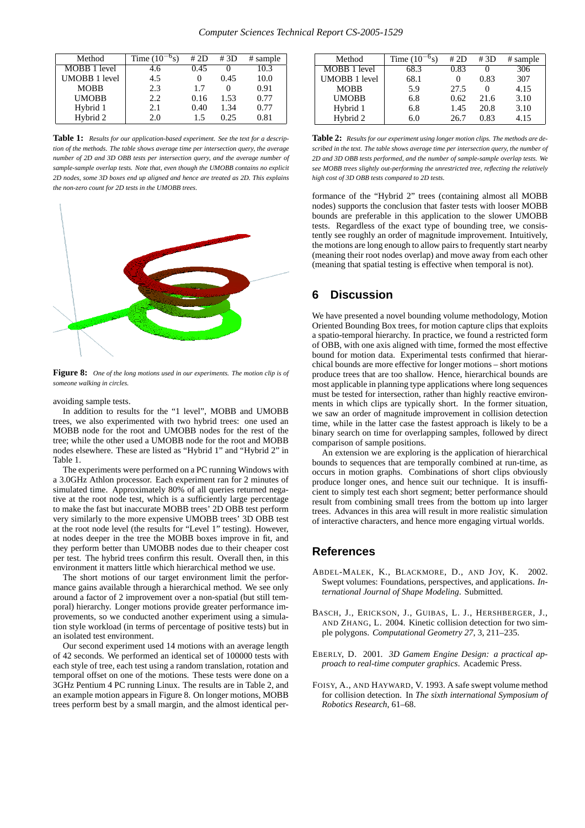| Method               | Time $(10^{-6}s)$ | # 2D | # 3D | # sample |
|----------------------|-------------------|------|------|----------|
| MOBB 1 level         | 4.6               | 0.45 |      | 10.3     |
| <b>UMOBB 1 level</b> | 4.5               |      | 0.45 | 10.0     |
| <b>MOBB</b>          | 2.3               | 1.7  |      | 0.91     |
| <b>UMOBB</b>         | 2.2               | 0.16 | 1.53 | 0.77     |
| Hybrid 1             | 2.1               | 0.40 | 1.34 | 0.77     |
| Hybrid 2             | 2.0               | 15   | 0.25 | 0.81     |

**Table 1:** *Results for our application-based experiment. See the text for a description of the methods. The table shows average time per intersection query, the average number of 2D and 3D OBB tests per intersection query, and the average number of sample-sample overlap tests. Note that, even though the UMOBB contains no explicit 2D nodes, some 3D boxes end up aligned and hence are treated as 2D. This explains the non-zero count for 2D tests in the UMOBB trees.*



**Figure 8:** *One of the long motions used in our experiments. The motion clip is of someone walking in circles.*

avoiding sample tests.

In addition to results for the "1 level", MOBB and UMOBB trees, we also experimented with two hybrid trees: one used an MOBB node for the root and UMOBB nodes for the rest of the tree; while the other used a UMOBB node for the root and MOBB nodes elsewhere. These are listed as "Hybrid 1" and "Hybrid 2" in Table 1.

The experiments were performed on a PC running Windows with a 3.0GHz Athlon processor. Each experiment ran for 2 minutes of simulated time. Approximately 80% of all queries returned negative at the root node test, which is a sufficiently large percentage to make the fast but inaccurate MOBB trees' 2D OBB test perform very similarly to the more expensive UMOBB trees' 3D OBB test at the root node level (the results for "Level 1" testing). However, at nodes deeper in the tree the MOBB boxes improve in fit, and they perform better than UMOBB nodes due to their cheaper cost per test. The hybrid trees confirm this result. Overall then, in this environment it matters little which hierarchical method we use.

The short motions of our target environment limit the performance gains available through a hierarchical method. We see only around a factor of 2 improvement over a non-spatial (but still temporal) hierarchy. Longer motions provide greater performance improvements, so we conducted another experiment using a simulation style workload (in terms of percentage of positive tests) but in an isolated test environment.

Our second experiment used 14 motions with an average length of 42 seconds. We performed an identical set of 100000 tests with each style of tree, each test using a random translation, rotation and temporal offset on one of the motions. These tests were done on a 3GHz Pentium 4 PC running Linux. The results are in Table 2, and an example motion appears in Figure 8. On longer motions, MOBB trees perform best by a small margin, and the almost identical per-

| Method               | Time $(10^{-6}s)$ | # 2D | #3D  | # sample |
|----------------------|-------------------|------|------|----------|
| MOBB 1 level         | 68.3              | 0.83 |      | 306      |
| <b>UMOBB 1 level</b> | 68.1              |      | 0.83 | 307      |
| <b>MOBB</b>          | 5.9               | 27.5 |      | 4.15     |
| <b>UMOBB</b>         | 6.8               | 0.62 | 21.6 | 3.10     |
| Hybrid 1             | 6.8               | 1.45 | 20.8 | 3.10     |
| Hybrid 2             | 6.0               | 26.7 | 0.83 | 4.15     |

**Table 2:** *Results for our experiment using longer motion clips. The methods are described in the text. The table shows average time per intersection query, the number of 2D and 3D OBB tests performed, and the number of sample-sample overlap tests. We see MOBB trees slightly out-performing the unrestricted tree, reflecting the relatively high cost of 3D OBB tests compared to 2D tests.*

formance of the "Hybrid 2" trees (containing almost all MOBB nodes) supports the conclusion that faster tests with looser MOBB bounds are preferable in this application to the slower UMOBB tests. Regardless of the exact type of bounding tree, we consistently see roughly an order of magnitude improvement. Intuitively, the motions are long enough to allow pairs to frequently start nearby (meaning their root nodes overlap) and move away from each other (meaning that spatial testing is effective when temporal is not).

# **6 Discussion**

We have presented a novel bounding volume methodology, Motion Oriented Bounding Box trees, for motion capture clips that exploits a spatio-temporal hierarchy. In practice, we found a restricted form of OBB, with one axis aligned with time, formed the most effective bound for motion data. Experimental tests confirmed that hierarchical bounds are more effective for longer motions – short motions produce trees that are too shallow. Hence, hierarchical bounds are most applicable in planning type applications where long sequences must be tested for intersection, rather than highly reactive environments in which clips are typically short. In the former situation, we saw an order of magnitude improvement in collision detection time, while in the latter case the fastest approach is likely to be a binary search on time for overlapping samples, followed by direct comparison of sample positions.

An extension we are exploring is the application of hierarchical bounds to sequences that are temporally combined at run-time, as occurs in motion graphs. Combinations of short clips obviously produce longer ones, and hence suit our technique. It is insufficient to simply test each short segment; better performance should result from combining small trees from the bottom up into larger trees. Advances in this area will result in more realistic simulation of interactive characters, and hence more engaging virtual worlds.

## **References**

- ABDEL-MALEK, K., BLACKMORE, D., AND JOY, K. 2002. Swept volumes: Foundations, perspectives, and applications. *International Journal of Shape Modeling*. Submitted.
- BASCH, J., ERICKSON, J., GUIBAS, L. J., HERSHBERGER, J., AND ZHANG, L. 2004. Kinetic collision detection for two simple polygons. *Computational Geometry 27*, 3, 211–235.
- EBERLY, D. 2001. *3D Gamem Engine Design: a practical approach to real-time computer graphics*. Academic Press.
- FOISY, A., AND HAYWARD, V. 1993. A safe swept volume method for collision detection. In *The sixth international Symposium of Robotics Research*, 61–68.